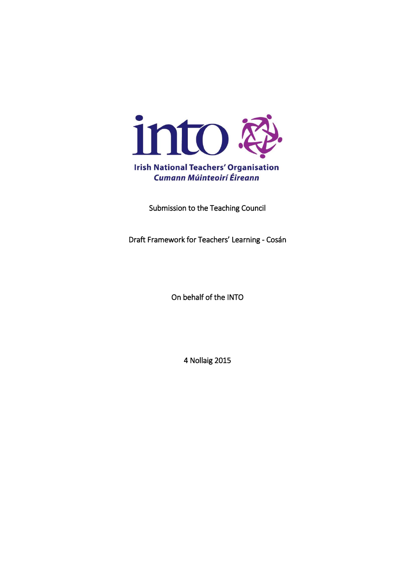

Submission to the Teaching Council

Draft Framework for Teachers' Learning - Cosán

On behalf of the INTO

4 Nollaig 2015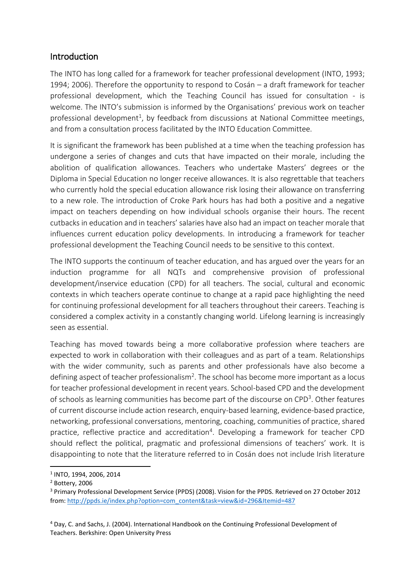# **Introduction**

The INTO has long called for a framework for teacher professional development (INTO, 1993; 1994; 2006). Therefore the opportunity to respond to Cosán – a draft framework for teacher professional development, which the Teaching Council has issued for consultation - is welcome. The INTO's submission is informed by the Organisations' previous work on teacher professional development<sup>1</sup>, by feedback from discussions at National Committee meetings, and from a consultation process facilitated by the INTO Education Committee.

It is significant the framework has been published at a time when the teaching profession has undergone a series of changes and cuts that have impacted on their morale, including the abolition of qualification allowances. Teachers who undertake Masters' degrees or the Diploma in Special Education no longer receive allowances. It is also regrettable that teachers who currently hold the special education allowance risk losing their allowance on transferring to a new role. The introduction of Croke Park hours has had both a positive and a negative impact on teachers depending on how individual schools organise their hours. The recent cutbacks in education and in teachers' salaries have also had an impact on teacher morale that influences current education policy developments. In introducing a framework for teacher professional development the Teaching Council needs to be sensitive to this context.

The INTO supports the continuum of teacher education, and has argued over the years for an induction programme for all NQTs and comprehensive provision of professional development/inservice education (CPD) for all teachers. The social, cultural and economic contexts in which teachers operate continue to change at a rapid pace highlighting the need for continuing professional development for all teachers throughout their careers. Teaching is considered a complex activity in a constantly changing world. Lifelong learning is increasingly seen as essential.

Teaching has moved towards being a more collaborative profession where teachers are expected to work in collaboration with their colleagues and as part of a team. Relationships with the wider community, such as parents and other professionals have also become a defining aspect of teacher professionalism<sup>2</sup>. The school has become more important as a locus for teacher professional development in recent years. School-based CPD and the development of schools as learning communities has become part of the discourse on CPD<sup>3</sup>. Other features of current discourse include action research, enquiry-based learning, evidence-based practice, networking, professional conversations, mentoring, coaching, communities of practice, shared practice, reflective practice and accreditation<sup>4</sup>. Developing a framework for teacher CPD should reflect the political, pragmatic and professional dimensions of teachers' work. It is disappointing to note that the literature referred to in Cosán does not include Irish literature

**.** 

<sup>1</sup> INTO, 1994, 2006, 2014

<sup>2</sup> Bottery, 2006

<sup>3</sup> Primary Professional Development Service (PPDS) (2008). Vision for the PPDS. Retrieved on 27 October 2012 from[: http://ppds.ie/index.php?option=com\\_content&task=view&id=296&Itemid=487](http://ppds.ie/index.php?option=com_content&task=view&id=296&Itemid=487)

<sup>4</sup> Day, C. and Sachs, J. (2004). International Handbook on the Continuing Professional Development of Teachers. Berkshire: Open University Press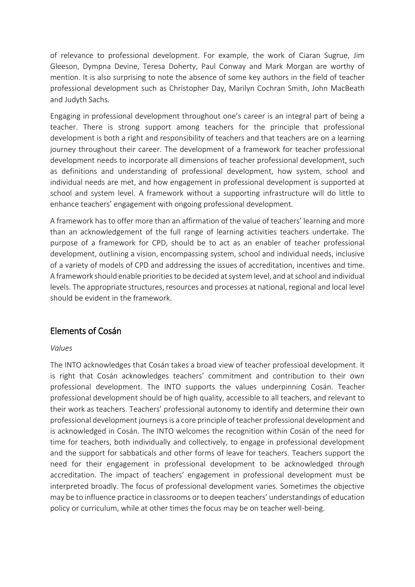of relevance to professional development. For example, the work of Ciaran Sugrue, Jim Gleeson, Dympna Devine, Teresa Doherty, Paul Conway and Mark Morgan are worthy of mention. It is also surprising to note the absence of some key authors in the field of teacher professional development such as Christopher Day, Marilyn Cochran Smith, John MacBeath and Judyth Sachs.

Engaging in professional development throughout one's career is an integral part of being a teacher. There is strong support among teachers for the principle that professional development is both a right and responsibility of teachers and that teachers are on a learning journey throughout their career. The development of a framework for teacher professional development needs to incorporate all dimensions of teacher professional development, such as definitions and understanding of professional development, how system, school and individual needs are met, and how engagement in professional development is supported at school and system level. A framework without a supporting infrastructure will do little to enhance teachers' engagement with ongoing professional development.

A framework has to offer more than an affirmation of the value of teachers' learning and more than an acknowledgement of the full range of learning activities teachers undertake. The purpose of a framework for CPD, should be to act as an enabler of teacher professional development, outlining a vision, encompassing system, school and individual needs, inclusive of a variety of models of CPD and addressing the issues of accreditation, incentives and time. A framework should enable priorities to be decided at system level, and at school and individual levels. The appropriate structures, resources and processes at national, regional and local level should be evident in the framework.

# Elements of Cosán

### *Values*

The INTO acknowledges that Cosán takes a broad view of teacher professioal development. It is right that Cosán acknowledges teachers' commitment and contribution to their own professional development. The INTO supports the values underpinning Cosán. Teacher professional development should be of high quality, accessible to all teachers, and relevant to their work as teachers. Teachers' professional autonomy to identify and determine their own professional development journeysis a core principle of teacher professional development and is acknowledged in Cosán. The INTO welcomes the recognition within Cosán of the need for time for teachers, both individually and collectively, to engage in professional development and the support for sabbaticals and other forms of leave for teachers. Teachers support the need for their engagement in professional development to be acknowledged through accreditation. The impact of teachers' engagement in professional development must be interpreted broadly. The focus of professional development varies. Sometimes the objective may be to influence practice in classrooms or to deepen teachers' understandings of education policy or curriculum, while at other times the focus may be on teacher well-being.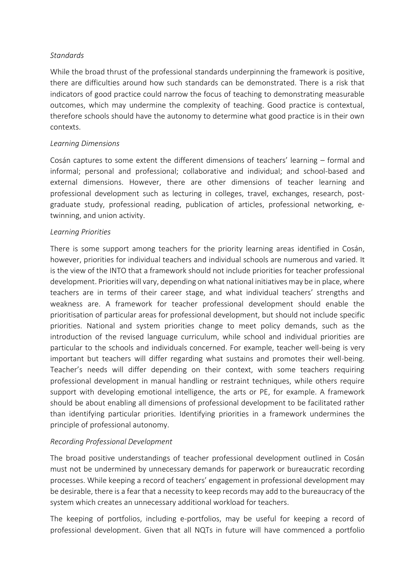### *Standards*

While the broad thrust of the professional standards underpinning the framework is positive, there are difficulties around how such standards can be demonstrated. There is a risk that indicators of good practice could narrow the focus of teaching to demonstrating measurable outcomes, which may undermine the complexity of teaching. Good practice is contextual, therefore schools should have the autonomy to determine what good practice is in their own contexts.

### *Learning Dimensions*

Cosán captures to some extent the different dimensions of teachers' learning – formal and informal; personal and professional; collaborative and individual; and school-based and external dimensions. However, there are other dimensions of teacher learning and professional development such as lecturing in colleges, travel, exchanges, research, postgraduate study, professional reading, publication of articles, professional networking, etwinning, and union activity.

### *Learning Priorities*

There is some support among teachers for the priority learning areas identified in Cosán, however, priorities for individual teachers and individual schools are numerous and varied. It is the view of the INTO that a framework should not include priorities for teacher professional development. Priorities will vary, depending on what national initiatives may be in place, where teachers are in terms of their career stage, and what individual teachers' strengths and weakness are. A framework for teacher professional development should enable the prioritisation of particular areas for professional development, but should not include specific priorities. National and system priorities change to meet policy demands, such as the introduction of the revised language curriculum, while school and individual priorities are particular to the schools and individuals concerned. For example, teacher well-being is very important but teachers will differ regarding what sustains and promotes their well-being. Teacher's needs will differ depending on their context, with some teachers requiring professional development in manual handling or restraint techniques, while others require support with developing emotional intelligence, the arts or PE, for example. A framework should be about enabling all dimensions of professional development to be facilitated rather than identifying particular priorities. Identifying priorities in a framework undermines the principle of professional autonomy.

#### *Recording Professional Development*

The broad positive understandings of teacher professional development outlined in Cosán must not be undermined by unnecessary demands for paperwork or bureaucratic recording processes. While keeping a record of teachers' engagement in professional development may be desirable, there is a fear that a necessity to keep records may add to the bureaucracy of the system which creates an unnecessary additional workload for teachers.

The keeping of portfolios, including e-portfolios, may be useful for keeping a record of professional development. Given that all NQTs in future will have commenced a portfolio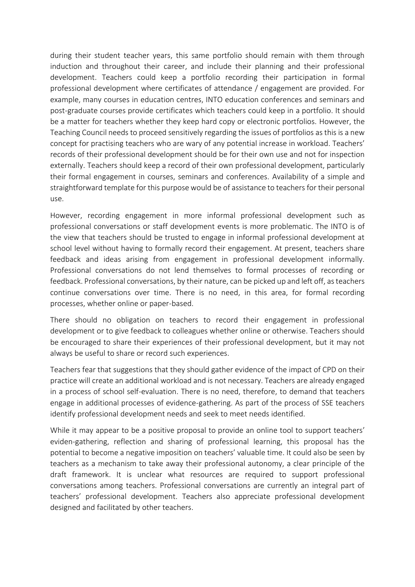during their student teacher years, this same portfolio should remain with them through induction and throughout their career, and include their planning and their professional development. Teachers could keep a portfolio recording their participation in formal professional development where certificates of attendance / engagement are provided. For example, many courses in education centres, INTO education conferences and seminars and post-graduate courses provide certificates which teachers could keep in a portfolio. It should be a matter for teachers whether they keep hard copy or electronic portfolios. However, the Teaching Council needs to proceed sensitively regarding the issues of portfolios as this is a new concept for practising teachers who are wary of any potential increase in workload. Teachers' records of their professional development should be for their own use and not for inspection externally. Teachers should keep a record of their own professional development, particularly their formal engagement in courses, seminars and conferences. Availability of a simple and straightforward template for this purpose would be of assistance to teachers for their personal use.

However, recording engagement in more informal professional development such as professional conversations or staff development events is more problematic. The INTO is of the view that teachers should be trusted to engage in informal professional development at school level without having to formally record their engagement. At present, teachers share feedback and ideas arising from engagement in professional development informally. Professional conversations do not lend themselves to formal processes of recording or feedback. Professional conversations, by their nature, can be picked up and left off, as teachers continue conversations over time. There is no need, in this area, for formal recording processes, whether online or paper-based.

There should no obligation on teachers to record their engagement in professional development or to give feedback to colleagues whether online or otherwise. Teachers should be encouraged to share their experiences of their professional development, but it may not always be useful to share or record such experiences.

Teachers fear that suggestions that they should gather evidence of the impact of CPD on their practice will create an additional workload and is not necessary. Teachers are already engaged in a process of school self-evaluation. There is no need, therefore, to demand that teachers engage in additional processes of evidence-gathering. As part of the process of SSE teachers identify professional development needs and seek to meet needs identified.

While it may appear to be a positive proposal to provide an online tool to support teachers' eviden-gathering, reflection and sharing of professional learning, this proposal has the potential to become a negative imposition on teachers' valuable time. It could also be seen by teachers as a mechanism to take away their professional autonomy, a clear principle of the draft framework. It is unclear what resources are required to support professional conversations among teachers. Professional conversations are currently an integral part of teachers' professional development. Teachers also appreciate professional development designed and facilitated by other teachers.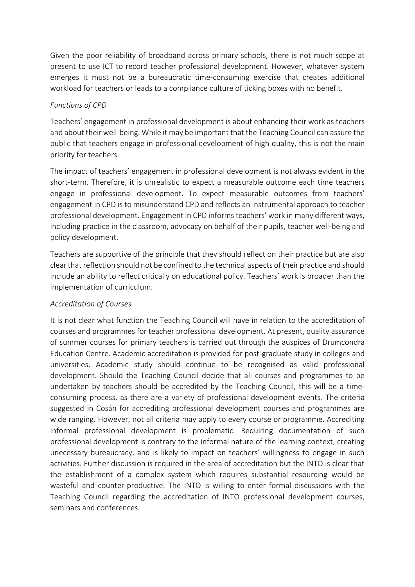Given the poor reliability of broadband across primary schools, there is not much scope at present to use ICT to record teacher professional development. However, whatever system emerges it must not be a bureaucratic time-consuming exercise that creates additional workload for teachers or leads to a compliance culture of ticking boxes with no benefit.

## *Functions of CPD*

Teachers' engagement in professional development is about enhancing their work as teachers and about their well-being. While it may be important that the Teaching Council can assure the public that teachers engage in professional development of high quality, this is not the main priority for teachers.

The impact of teachers' engagement in professional development is not always evident in the short-term. Therefore, it is unrealistic to expect a measurable outcome each time teachers engage in professional development. To expect measurable outcomes from teachers' engagement in CPD is to misunderstand CPD and reflects an instrumental approach to teacher professional development. Engagement in CPD informs teachers' work in many different ways, including practice in the classroom, advocacy on behalf of their pupils, teacher well-being and policy development.

Teachers are supportive of the principle that they should reflect on their practice but are also clear that reflection should not be confined to the technical aspects of their practice and should include an ability to reflect critically on educational policy. Teachers' work is broader than the implementation of curriculum.

# *Accreditation of Courses*

It is not clear what function the Teaching Council will have in relation to the accreditation of courses and programmes for teacher professional development. At present, quality assurance of summer courses for primary teachers is carried out through the auspices of Drumcondra Education Centre. Academic accreditation is provided for post-graduate study in colleges and universities. Academic study should continue to be recognised as valid professional development. Should the Teaching Council decide that all courses and programmes to be undertaken by teachers should be accredited by the Teaching Council, this will be a timeconsuming process, as there are a variety of professional development events. The criteria suggested in Cosán for accrediting professional development courses and programmes are wide ranging. However, not all criteria may apply to every course or programme. Accrediting informal professional development is problematic. Requiring documentation of such professional development is contrary to the informal nature of the learning context, creating unecessary bureaucracy, and is likely to impact on teachers' willingness to engage in such activities. Further discussion is required in the area of accreditation but the INTO is clear that the establishment of a complex system which requires substantial resourcing would be wasteful and counter-productive. The INTO is willing to enter formal discussions with the Teaching Council regarding the accreditation of INTO professional development courses, seminars and conferences.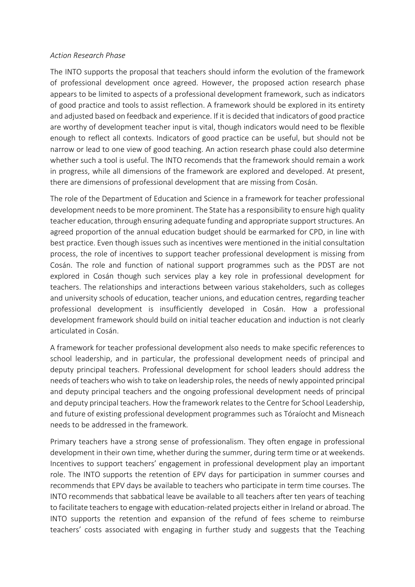#### *Action Research Phase*

The INTO supports the proposal that teachers should inform the evolution of the framework of professional development once agreed. However, the proposed action research phase appears to be limited to aspects of a professional development framework, such as indicators of good practice and tools to assist reflection. A framework should be explored in its entirety and adjusted based on feedback and experience. If it is decided that indicators of good practice are worthy of development teacher input is vital, though indicators would need to be flexible enough to reflect all contexts. Indicators of good practice can be useful, but should not be narrow or lead to one view of good teaching. An action research phase could also determine whether such a tool is useful. The INTO recomends that the framework should remain a work in progress, while all dimensions of the framework are explored and developed. At present, there are dimensions of professional development that are missing from Cosán.

The role of the Department of Education and Science in a framework for teacher professional development needs to be more prominent. The State has a responsibility to ensure high quality teacher education, through ensuring adequate funding and appropriate support structures. An agreed proportion of the annual education budget should be earmarked for CPD, in line with best practice. Even though issues such as incentives were mentioned in the initial consultation process, the role of incentives to support teacher professional development is missing from Cosán. The role and function of national support programmes such as the PDST are not explored in Cosán though such services play a key role in professional development for teachers. The relationships and interactions between various stakeholders, such as colleges and university schools of education, teacher unions, and education centres, regarding teacher professional development is insufficiently developed in Cosán. How a professional development framework should build on initial teacher education and induction is not clearly articulated in Cosán.

A framework for teacher professional development also needs to make specific references to school leadership, and in particular, the professional development needs of principal and deputy principal teachers. Professional development for school leaders should address the needs of teachers who wish to take on leadership roles, the needs of newly appointed principal and deputy principal teachers and the ongoing professional development needs of principal and deputy principal teachers. How the framework relates to the Centre for School Leadership, and future of existing professional development programmes such as Tóraíocht and Misneach needs to be addressed in the framework.

Primary teachers have a strong sense of professionalism. They often engage in professional development in their own time, whether during the summer, during term time or at weekends. Incentives to support teachers' engagement in professional development play an important role. The INTO supports the retention of EPV days for participation in summer courses and recommends that EPV days be available to teachers who participate in term time courses. The INTO recommends that sabbatical leave be available to all teachers after ten years of teaching to facilitate teachers to engage with education-related projects either in Ireland or abroad. The INTO supports the retention and expansion of the refund of fees scheme to reimburse teachers' costs associated with engaging in further study and suggests that the Teaching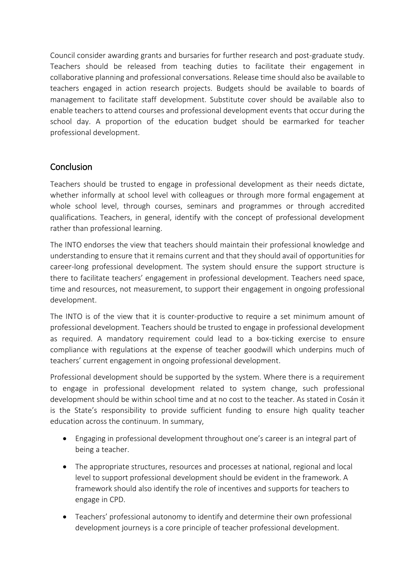Council consider awarding grants and bursaries for further research and post-graduate study. Teachers should be released from teaching duties to facilitate their engagement in collaborative planning and professional conversations. Release time should also be available to teachers engaged in action research projects. Budgets should be available to boards of management to facilitate staff development. Substitute cover should be available also to enable teachers to attend courses and professional development events that occur during the school day. A proportion of the education budget should be earmarked for teacher professional development.

# Conclusion

Teachers should be trusted to engage in professional development as their needs dictate, whether informally at school level with colleagues or through more formal engagement at whole school level, through courses, seminars and programmes or through accredited qualifications. Teachers, in general, identify with the concept of professional development rather than professional learning.

The INTO endorses the view that teachers should maintain their professional knowledge and understanding to ensure that it remains current and that they should avail of opportunities for career-long professional development. The system should ensure the support structure is there to facilitate teachers' engagement in professional development. Teachers need space, time and resources, not measurement, to support their engagement in ongoing professional development.

The INTO is of the view that it is counter-productive to require a set minimum amount of professional development. Teachers should be trusted to engage in professional development as required. A mandatory requirement could lead to a box-ticking exercise to ensure compliance with regulations at the expense of teacher goodwill which underpins much of teachers' current engagement in ongoing professional development.

Professional development should be supported by the system. Where there is a requirement to engage in professional development related to system change, such professional development should be within school time and at no cost to the teacher. As stated in Cosán it is the State's responsibility to provide sufficient funding to ensure high quality teacher education across the continuum. In summary,

- Engaging in professional development throughout one's career is an integral part of being a teacher.
- The appropriate structures, resources and processes at national, regional and local level to support professional development should be evident in the framework. A framework should also identify the role of incentives and supports for teachers to engage in CPD.
- Teachers' professional autonomy to identify and determine their own professional development journeys is a core principle of teacher professional development.